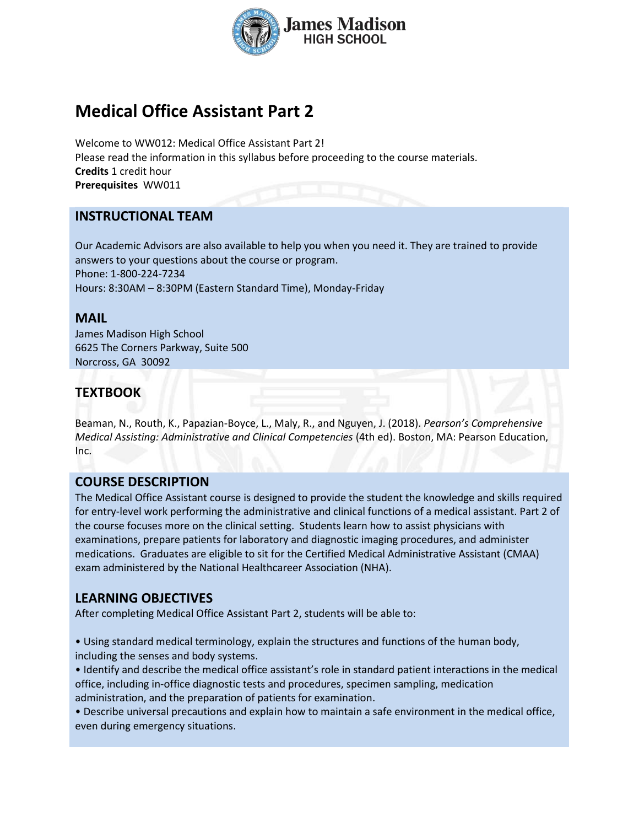

# **Medical Office Assistant Part 2**

Welcome to WW012: Medical Office Assistant Part 2! Please read the information in this syllabus before proceeding to the course materials. **Credits** 1 credit hour **Prerequisites** WW011

### **INSTRUCTIONAL TEAM**

Our Academic Advisors are also available to help you when you need it. They are trained to provide answers to your questions about the course or program. Phone: 1-800-224-7234 Hours: 8:30AM – 8:30PM (Eastern Standard Time), Monday-Friday

#### **MAIL**

James Madison High School 6625 The Corners Parkway, Suite 500 Norcross, GA 30092

# **TEXTBOOK**

Beaman, N., Routh, K., Papazian-Boyce, L., Maly, R., and Nguyen, J. (2018). *Pearson's Comprehensive Medical Assisting: Administrative and Clinical Competencies* (4th ed). Boston, MA: Pearson Education, Inc.

#### **COURSE DESCRIPTION**

The Medical Office Assistant course is designed to provide the student the knowledge and skills required for entry-level work performing the administrative and clinical functions of a medical assistant. Part 2 of the course focuses more on the clinical setting. Students learn how to assist physicians with examinations, prepare patients for laboratory and diagnostic imaging procedures, and administer medications. Graduates are eligible to sit for the Certified Medical Administrative Assistant (CMAA) exam administered by the National Healthcareer Association (NHA).

# **LEARNING OBJECTIVES**

After completing Medical Office Assistant Part 2, students will be able to:

• Using standard medical terminology, explain the structures and functions of the human body, including the senses and body systems.

• Identify and describe the medical office assistant's role in standard patient interactions in the medical office, including in-office diagnostic tests and procedures, specimen sampling, medication administration, and the preparation of patients for examination.

• Describe universal precautions and explain how to maintain a safe environment in the medical office, even during emergency situations.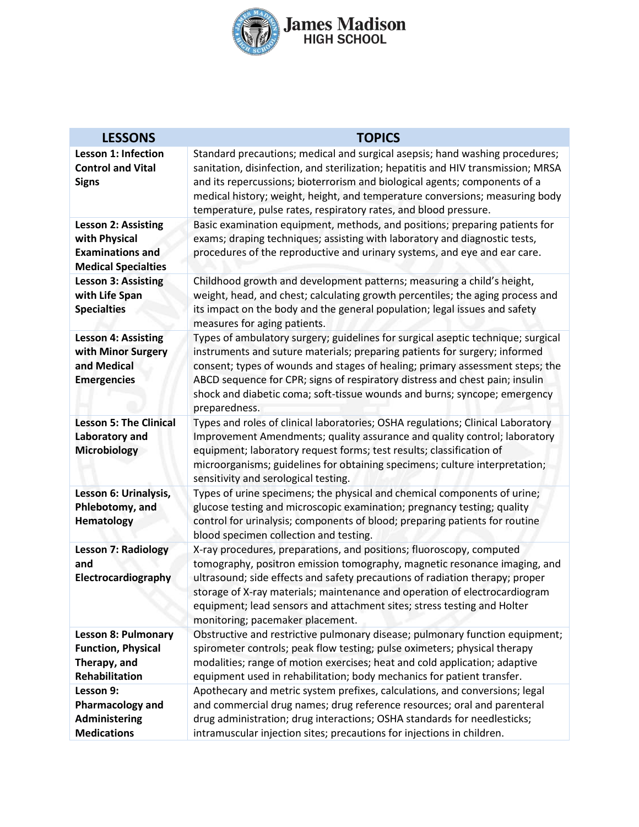

| <b>LESSONS</b>                                                                                | <b>TOPICS</b>                                                                                                                                                                                                                                                                                                                                                                                                                  |
|-----------------------------------------------------------------------------------------------|--------------------------------------------------------------------------------------------------------------------------------------------------------------------------------------------------------------------------------------------------------------------------------------------------------------------------------------------------------------------------------------------------------------------------------|
| <b>Lesson 1: Infection</b><br><b>Control and Vital</b><br><b>Signs</b>                        | Standard precautions; medical and surgical asepsis; hand washing procedures;<br>sanitation, disinfection, and sterilization; hepatitis and HIV transmission; MRSA<br>and its repercussions; bioterrorism and biological agents; components of a<br>medical history; weight, height, and temperature conversions; measuring body<br>temperature, pulse rates, respiratory rates, and blood pressure.                            |
| Lesson 2: Assisting<br>with Physical<br><b>Examinations and</b><br><b>Medical Specialties</b> | Basic examination equipment, methods, and positions; preparing patients for<br>exams; draping techniques; assisting with laboratory and diagnostic tests,<br>procedures of the reproductive and urinary systems, and eye and ear care.                                                                                                                                                                                         |
| <b>Lesson 3: Assisting</b><br>with Life Span<br><b>Specialties</b>                            | Childhood growth and development patterns; measuring a child's height,<br>weight, head, and chest; calculating growth percentiles; the aging process and<br>its impact on the body and the general population; legal issues and safety<br>measures for aging patients.                                                                                                                                                         |
| <b>Lesson 4: Assisting</b><br>with Minor Surgery<br>and Medical<br><b>Emergencies</b>         | Types of ambulatory surgery; guidelines for surgical aseptic technique; surgical<br>instruments and suture materials; preparing patients for surgery; informed<br>consent; types of wounds and stages of healing; primary assessment steps; the<br>ABCD sequence for CPR; signs of respiratory distress and chest pain; insulin<br>shock and diabetic coma; soft-tissue wounds and burns; syncope; emergency<br>preparedness.  |
| <b>Lesson 5: The Clinical</b><br>Laboratory and<br><b>Microbiology</b>                        | Types and roles of clinical laboratories; OSHA regulations; Clinical Laboratory<br>Improvement Amendments; quality assurance and quality control; laboratory<br>equipment; laboratory request forms; test results; classification of<br>microorganisms; guidelines for obtaining specimens; culture interpretation;<br>sensitivity and serological testing.                                                                    |
| Lesson 6: Urinalysis,<br>Phlebotomy, and<br><b>Hematology</b>                                 | Types of urine specimens; the physical and chemical components of urine;<br>glucose testing and microscopic examination; pregnancy testing; quality<br>control for urinalysis; components of blood; preparing patients for routine<br>blood specimen collection and testing.                                                                                                                                                   |
| <b>Lesson 7: Radiology</b><br>and<br>Electrocardiography                                      | X-ray procedures, preparations, and positions; fluoroscopy, computed<br>tomography, positron emission tomography, magnetic resonance imaging, and<br>ultrasound; side effects and safety precautions of radiation therapy; proper<br>storage of X-ray materials; maintenance and operation of electrocardiogram<br>equipment; lead sensors and attachment sites; stress testing and Holter<br>monitoring; pacemaker placement. |
| <b>Lesson 8: Pulmonary</b><br><b>Function, Physical</b><br>Therapy, and<br>Rehabilitation     | Obstructive and restrictive pulmonary disease; pulmonary function equipment;<br>spirometer controls; peak flow testing; pulse oximeters; physical therapy<br>modalities; range of motion exercises; heat and cold application; adaptive<br>equipment used in rehabilitation; body mechanics for patient transfer.                                                                                                              |
| Lesson 9:<br>Pharmacology and<br>Administering<br><b>Medications</b>                          | Apothecary and metric system prefixes, calculations, and conversions; legal<br>and commercial drug names; drug reference resources; oral and parenteral<br>drug administration; drug interactions; OSHA standards for needlesticks;<br>intramuscular injection sites; precautions for injections in children.                                                                                                                  |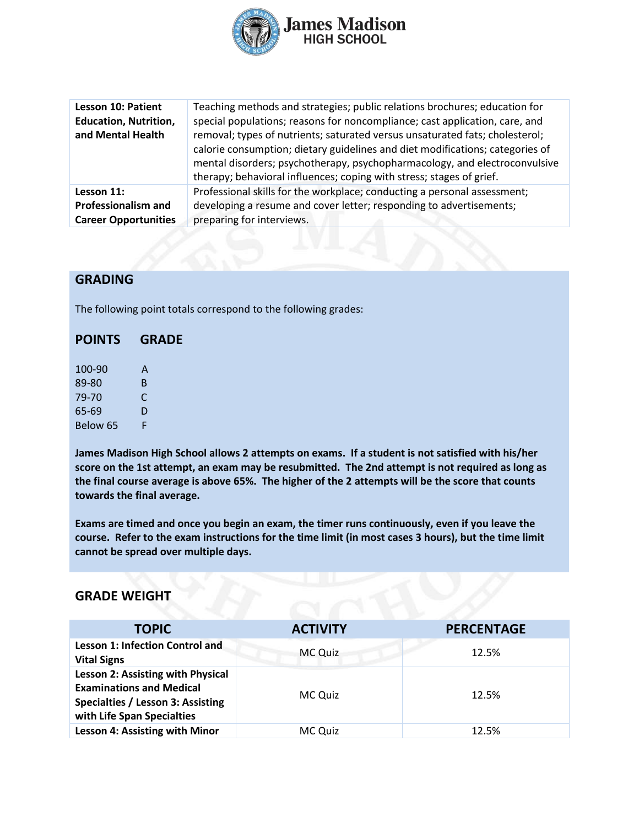

| <b>Lesson 10: Patient</b><br><b>Education, Nutrition,</b><br>and Mental Health | Teaching methods and strategies; public relations brochures; education for<br>special populations; reasons for noncompliance; cast application, care, and<br>removal; types of nutrients; saturated versus unsaturated fats; cholesterol;<br>calorie consumption; dietary guidelines and diet modifications; categories of<br>mental disorders; psychotherapy, psychopharmacology, and electroconvulsive<br>therapy; behavioral influences; coping with stress; stages of grief. |
|--------------------------------------------------------------------------------|----------------------------------------------------------------------------------------------------------------------------------------------------------------------------------------------------------------------------------------------------------------------------------------------------------------------------------------------------------------------------------------------------------------------------------------------------------------------------------|
| Lesson 11:                                                                     | Professional skills for the workplace; conducting a personal assessment;                                                                                                                                                                                                                                                                                                                                                                                                         |
| <b>Professionalism and</b>                                                     | developing a resume and cover letter; responding to advertisements;                                                                                                                                                                                                                                                                                                                                                                                                              |
| <b>Career Opportunities</b>                                                    | preparing for interviews.                                                                                                                                                                                                                                                                                                                                                                                                                                                        |

# **GRADING**

The following point totals correspond to the following grades:

| <b>POINTS</b> | <b>GRADE</b> |  |
|---------------|--------------|--|
| 100-90        | A            |  |
| 89-80         | B            |  |
| 79-70         | C            |  |
| 65-69         | D            |  |

Below 65 F

**James Madison High School allows 2 attempts on exams. If a student is not satisfied with his/her score on the 1st attempt, an exam may be resubmitted. The 2nd attempt is not required as long as the final course average is above 65%. The higher of the 2 attempts will be the score that counts towards the final average.** 

**Exams are timed and once you begin an exam, the timer runs continuously, even if you leave the course. Refer to the exam instructions for the time limit (in most cases 3 hours), but the time limit cannot be spread over multiple days.**

#### **GRADE WEIGHT**

| <b>TOPIC</b>                                                                                                                                   | <b>ACTIVITY</b> | <b>PERCENTAGE</b> |
|------------------------------------------------------------------------------------------------------------------------------------------------|-----------------|-------------------|
| <b>Lesson 1: Infection Control and</b><br><b>Vital Signs</b>                                                                                   | MC Quiz         | 12.5%             |
| Lesson 2: Assisting with Physical<br><b>Examinations and Medical</b><br><b>Specialties / Lesson 3: Assisting</b><br>with Life Span Specialties | MC Quiz         | 12.5%             |
| Lesson 4: Assisting with Minor                                                                                                                 | MC Quiz         | 12.5%             |